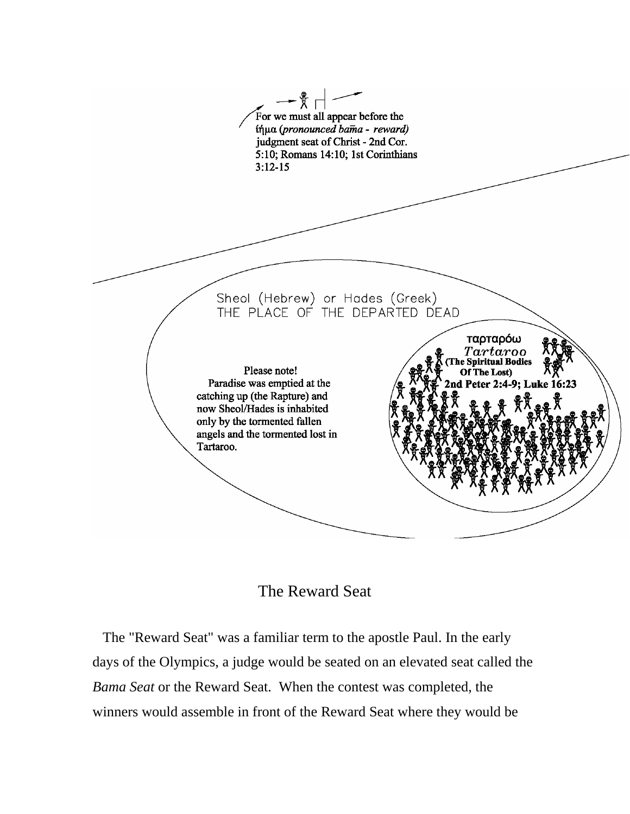

## The Reward Seat

The "Reward Seat" was a familiar term to the apostle Paul. In the early days of the Olympics, a judge would be seated on an elevated seat called the *Bama Seat* or the Reward Seat. When the contest was completed, the winners would assemble in front of the Reward Seat where they would be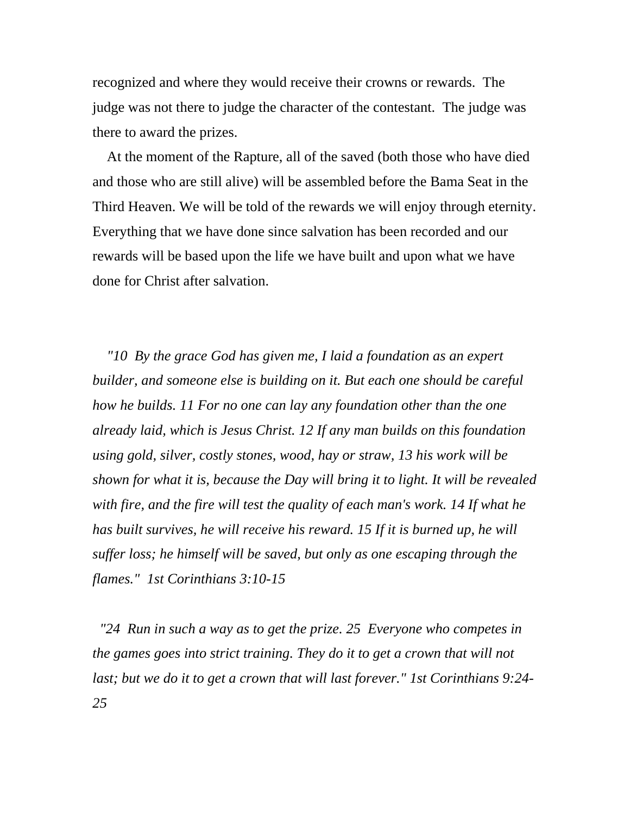recognized and where they would receive their crowns or rewards. The judge was not there to judge the character of the contestant. The judge was there to award the prizes.

 At the moment of the Rapture, all of the saved (both those who have died and those who are still alive) will be assembled before the Bama Seat in the Third Heaven. We will be told of the rewards we will enjoy through eternity. Everything that we have done since salvation has been recorded and our rewards will be based upon the life we have built and upon what we have done for Christ after salvation.

 *"10 By the grace God has given me, I laid a foundation as an expert builder, and someone else is building on it. But each one should be careful how he builds. 11 For no one can lay any foundation other than the one already laid, which is Jesus Christ. 12 If any man builds on this foundation using gold, silver, costly stones, wood, hay or straw, 13 his work will be shown for what it is, because the Day will bring it to light. It will be revealed with fire, and the fire will test the quality of each man's work. 14 If what he has built survives, he will receive his reward. 15 If it is burned up, he will suffer loss; he himself will be saved, but only as one escaping through the flames." 1st Corinthians 3:10-15* 

 *"24 Run in such a way as to get the prize. 25 Everyone who competes in the games goes into strict training. They do it to get a crown that will not last; but we do it to get a crown that will last forever." 1st Corinthians 9:24- 25*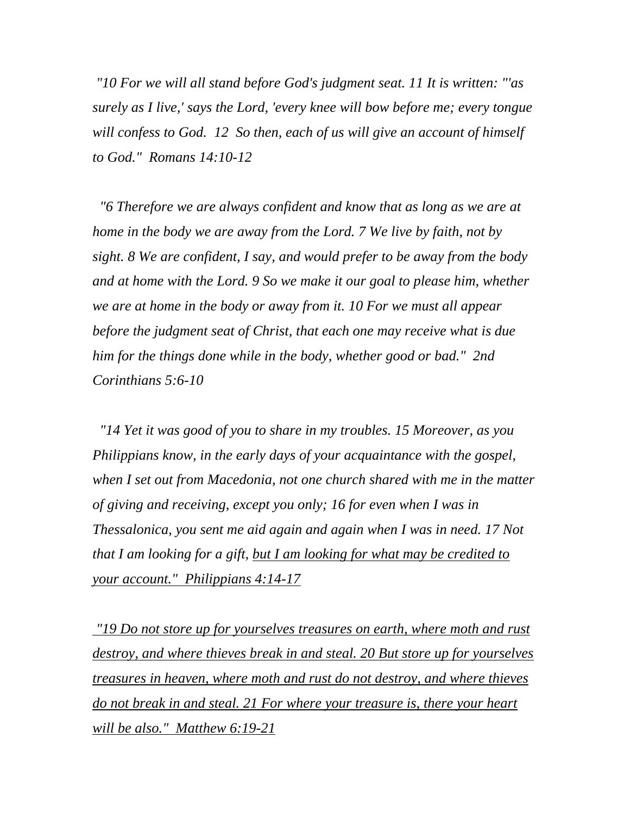*"10 For we will all stand before God's judgment seat. 11 It is written: "'as surely as I live,' says the Lord, 'every knee will bow before me; every tongue will confess to God. 12 So then, each of us will give an account of himself to God." Romans 14:10-12* 

 *"6 Therefore we are always confident and know that as long as we are at home in the body we are away from the Lord. 7 We live by faith, not by sight. 8 We are confident, I say, and would prefer to be away from the body and at home with the Lord. 9 So we make it our goal to please him, whether we are at home in the body or away from it. 10 For we must all appear before the judgment seat of Christ, that each one may receive what is due him for the things done while in the body, whether good or bad." 2nd Corinthians 5:6-10* 

 *"14 Yet it was good of you to share in my troubles. 15 Moreover, as you Philippians know, in the early days of your acquaintance with the gospel, when I set out from Macedonia, not one church shared with me in the matter of giving and receiving, except you only; 16 for even when I was in Thessalonica, you sent me aid again and again when I was in need. 17 Not that I am looking for a gift, but I am looking for what may be credited to your account." Philippians 4:14-17*

 *"19 Do not store up for yourselves treasures on earth, where moth and rust destroy, and where thieves break in and steal. 20 But store up for yourselves treasures in heaven, where moth and rust do not destroy, and where thieves do not break in and steal. 21 For where your treasure is, there your heart will be also." Matthew 6:19-21*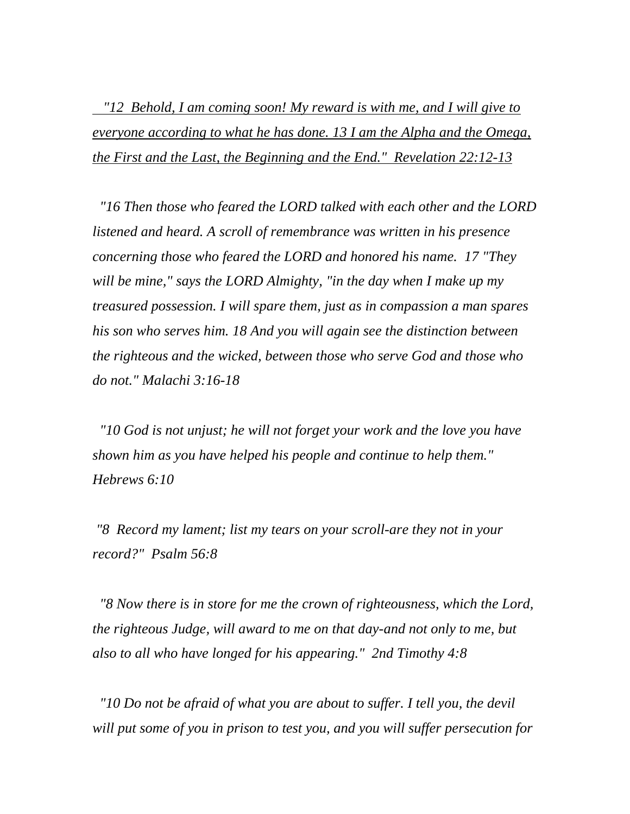*"12 Behold, I am coming soon! My reward is with me, and I will give to everyone according to what he has done. 13 I am the Alpha and the Omega, the First and the Last, the Beginning and the End." Revelation 22:12-13*

 *"16 Then those who feared the LORD talked with each other and the LORD listened and heard. A scroll of remembrance was written in his presence concerning those who feared the LORD and honored his name. 17 "They will be mine," says the LORD Almighty, "in the day when I make up my treasured possession. I will spare them, just as in compassion a man spares his son who serves him. 18 And you will again see the distinction between the righteous and the wicked, between those who serve God and those who do not." Malachi 3:16-18* 

 *"10 God is not unjust; he will not forget your work and the love you have shown him as you have helped his people and continue to help them." Hebrews 6:10* 

 *"8 Record my lament; list my tears on your scroll-are they not in your record?" Psalm 56:8* 

 *"8 Now there is in store for me the crown of righteousness, which the Lord, the righteous Judge, will award to me on that day-and not only to me, but also to all who have longed for his appearing." 2nd Timothy 4:8* 

 *"10 Do not be afraid of what you are about to suffer. I tell you, the devil will put some of you in prison to test you, and you will suffer persecution for*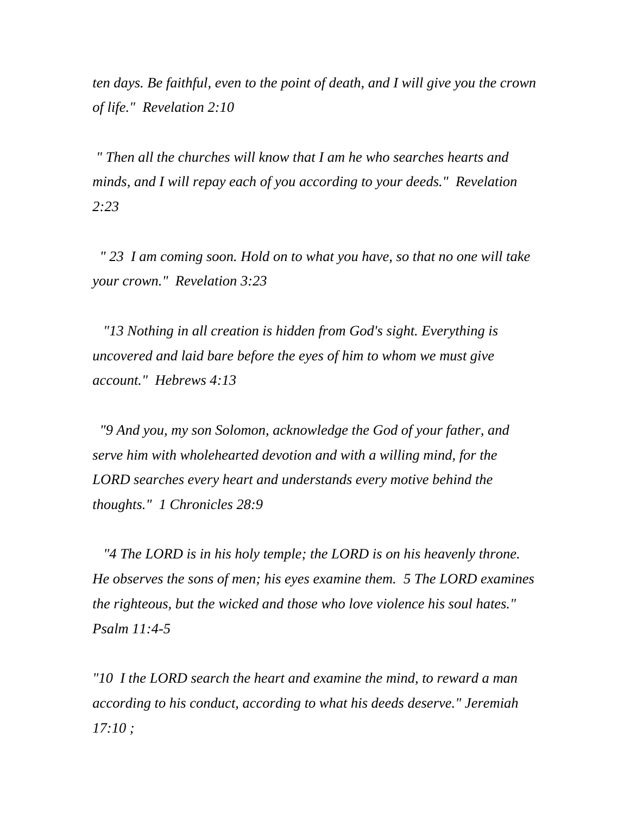*ten days. Be faithful, even to the point of death, and I will give you the crown of life." Revelation 2:10* 

 *" Then all the churches will know that I am he who searches hearts and minds, and I will repay each of you according to your deeds." Revelation 2:23* 

 *" 23 I am coming soon. Hold on to what you have, so that no one will take your crown." Revelation 3:23* 

 *"13 Nothing in all creation is hidden from God's sight. Everything is uncovered and laid bare before the eyes of him to whom we must give account." Hebrews 4:13* 

 *"9 And you, my son Solomon, acknowledge the God of your father, and serve him with wholehearted devotion and with a willing mind, for the LORD searches every heart and understands every motive behind the thoughts." 1 Chronicles 28:9* 

 *"4 The LORD is in his holy temple; the LORD is on his heavenly throne. He observes the sons of men; his eyes examine them. 5 The LORD examines the righteous, but the wicked and those who love violence his soul hates." Psalm 11:4-5* 

*"10 I the LORD search the heart and examine the mind, to reward a man according to his conduct, according to what his deeds deserve." Jeremiah 17:10 ;*